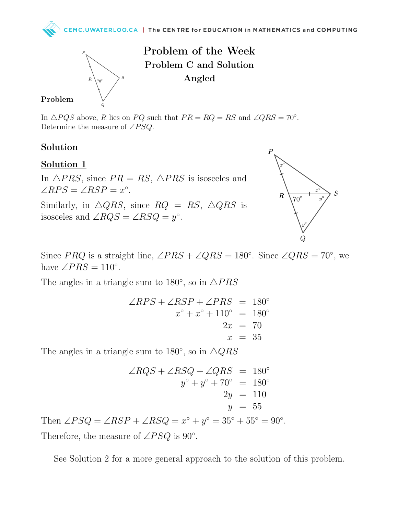



Problem of the Week Problem C and Solution Angled

## Problem

In  $\triangle PQS$  above, R lies on PQ such that  $PR = RQ = RS$  and  $\angle QRS = 70°$ . Determine the measure of  $\angle PSQ$ .

## Solution

Solution 1

In  $\triangle PRS$ , since  $PR = RS$ ,  $\triangle PRS$  is isosceles and  $\angle RPS = \angle RSP = x^{\circ}.$ 

Similarly, in  $\triangle QRS$ , since  $RQ = RS$ ,  $\triangle QRS$  is isosceles and  $\angle RQS = \angle RSQ = y^{\circ}$ .



Since PRQ is a straight line,  $\angle PRS + \angle QRS = 180^\circ$ . Since  $\angle QRS = 70^\circ$ , we have  $\angle PRS = 110^{\circ}$ .

The angles in a triangle sum to 180 $^{\circ}$ , so in  $\triangle PRS$ 

$$
\angle RPS + \angle RSP + \angle PRS = 180^{\circ}
$$
  

$$
x^{\circ} + x^{\circ} + 110^{\circ} = 180^{\circ}
$$
  

$$
2x = 70
$$
  

$$
x = 35
$$

The angles in a triangle sum to 180 $^{\circ}$ , so in  $\triangle QRS$ 

$$
\angle RQS + \angle RSQ + \angle QRS = 180^{\circ}
$$
  
\n
$$
y^{\circ} + y^{\circ} + 70^{\circ} = 180^{\circ}
$$
  
\n
$$
2y = 110
$$
  
\n
$$
y = 55
$$
  
\nThen  $\angle PSQ = \angle RSP + \angle RSQ = x^{\circ} + y^{\circ} = 35^{\circ} + 55^{\circ} = 90^{\circ}.$   
\nTherefore, the measure of  $\angle PSQ$  is 90°.

See Solution 2 for a more general approach to the solution of this problem.